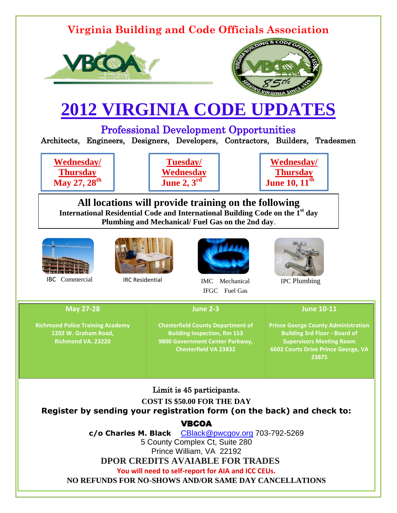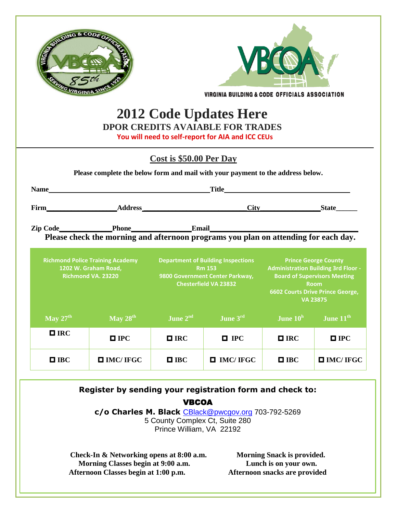

**Morning Classes begin at 9:00 a.m. Lunch is on your own. Afternoon Classes begin at 1:00 p.m. Afternoon snacks are provided**